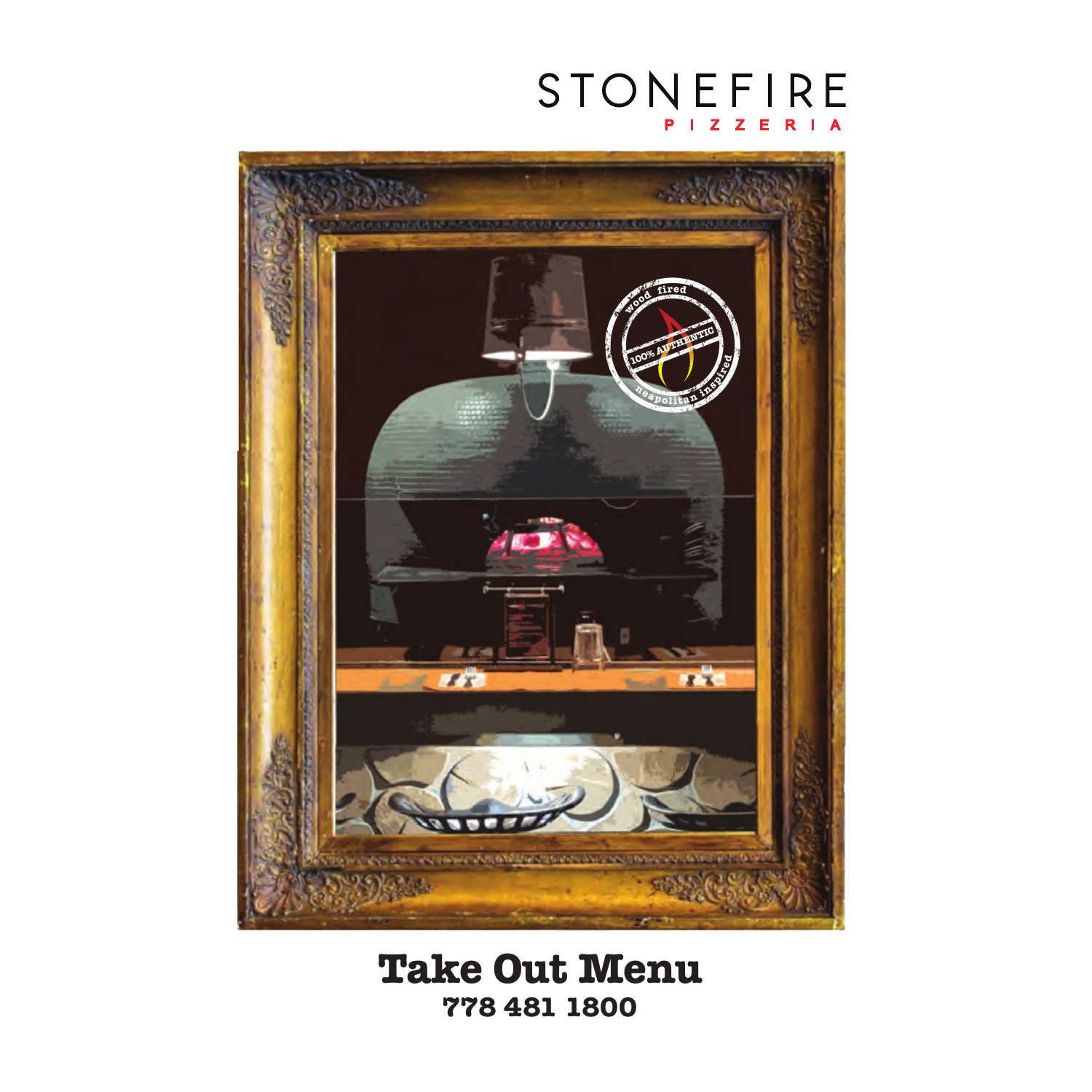# STONEFIRE



#### **Take Out Menu 778 481 1800**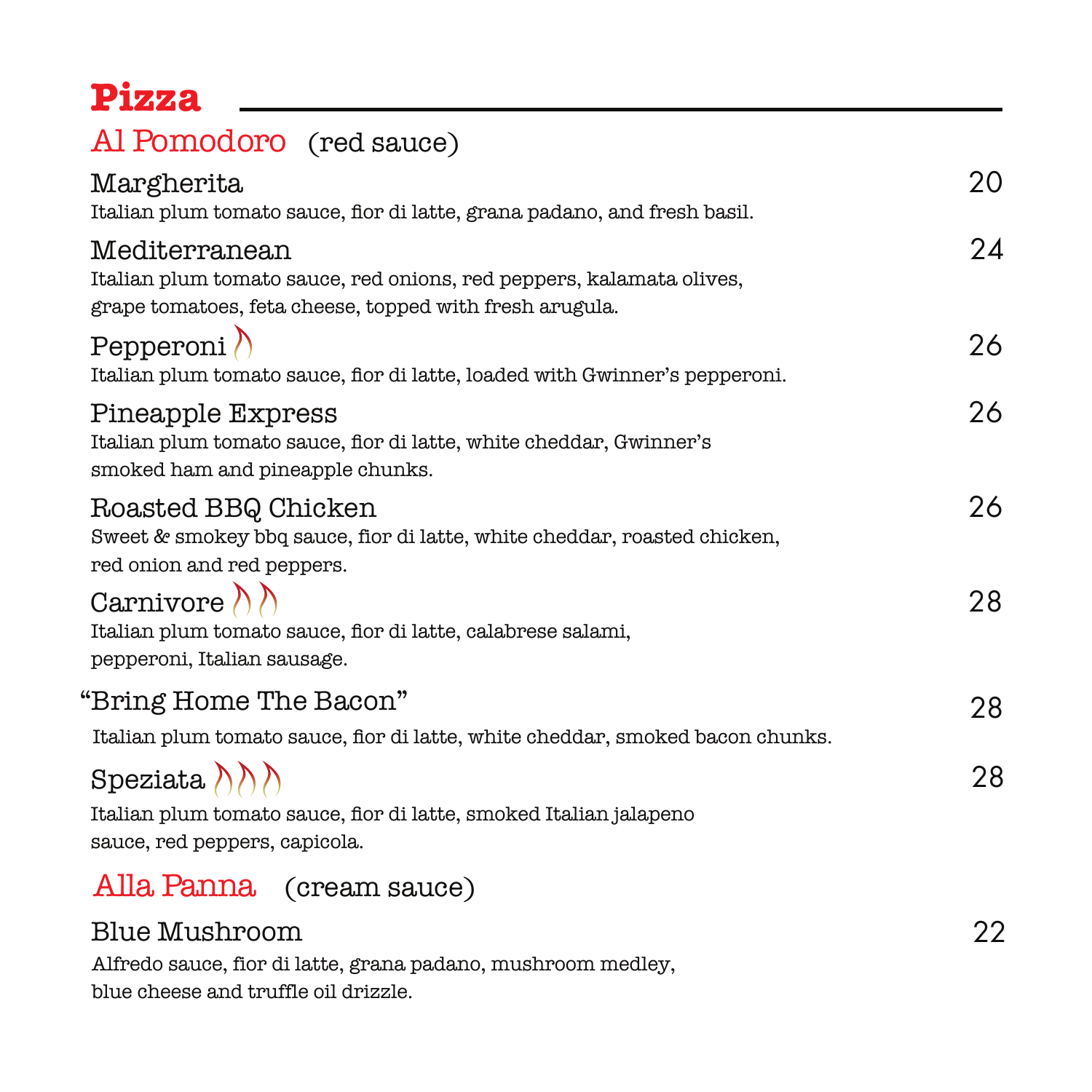### **Pizza**

#### Al Pomodoro (red sauce)

| Margherita<br>Italian plum tomato sauce, flor di latte, grana padano, and fresh basil.                                                           | 20 |
|--------------------------------------------------------------------------------------------------------------------------------------------------|----|
| Mediterranean<br>Italian plum tomato sauce, red onions, red peppers, kalamata olives,<br>grape tomatoes, feta cheese, topped with fresh arugula. | 24 |
| Pepperoni $\Lambda$<br>Italian plum tomato sauce, flor di latte, loaded with Gwinner's pepperoni.                                                | 26 |
| Pineapple Express<br>Italian plum tomato sauce, flor di latte, white cheddar, Gwinner's<br>smoked ham and pineapple chunks.                      | 26 |
| Roasted BBQ Chicken<br>Sweet & smokey bbq sauce, flor di latte, white cheddar, roasted chicken,<br>red onion and red peppers.                    | 26 |
| Carnivore $\langle \rangle$<br>Italian plum tomato sauce, flor di latte, calabrese salami,<br>pepperoni, Italian sausage.                        | 28 |
| "Bring Home The Bacon"<br>Italian plum tomato sauce, flor di latte, white cheddar, smoked bacon chunks.                                          | 28 |
| Speziata $\{\wedge\}\$<br>Italian plum tomato sauce, flor di latte, smoked Italian jalapeno<br>sauce, red peppers, capicola.                     | 28 |
| Alla Panna (cream sauce)                                                                                                                         |    |
| Blue Mushroom<br>Alfredo sauce, fior di latte, grana padano, mushroom medley,                                                                    | 22 |

blue cheese and truffle oil drizzle.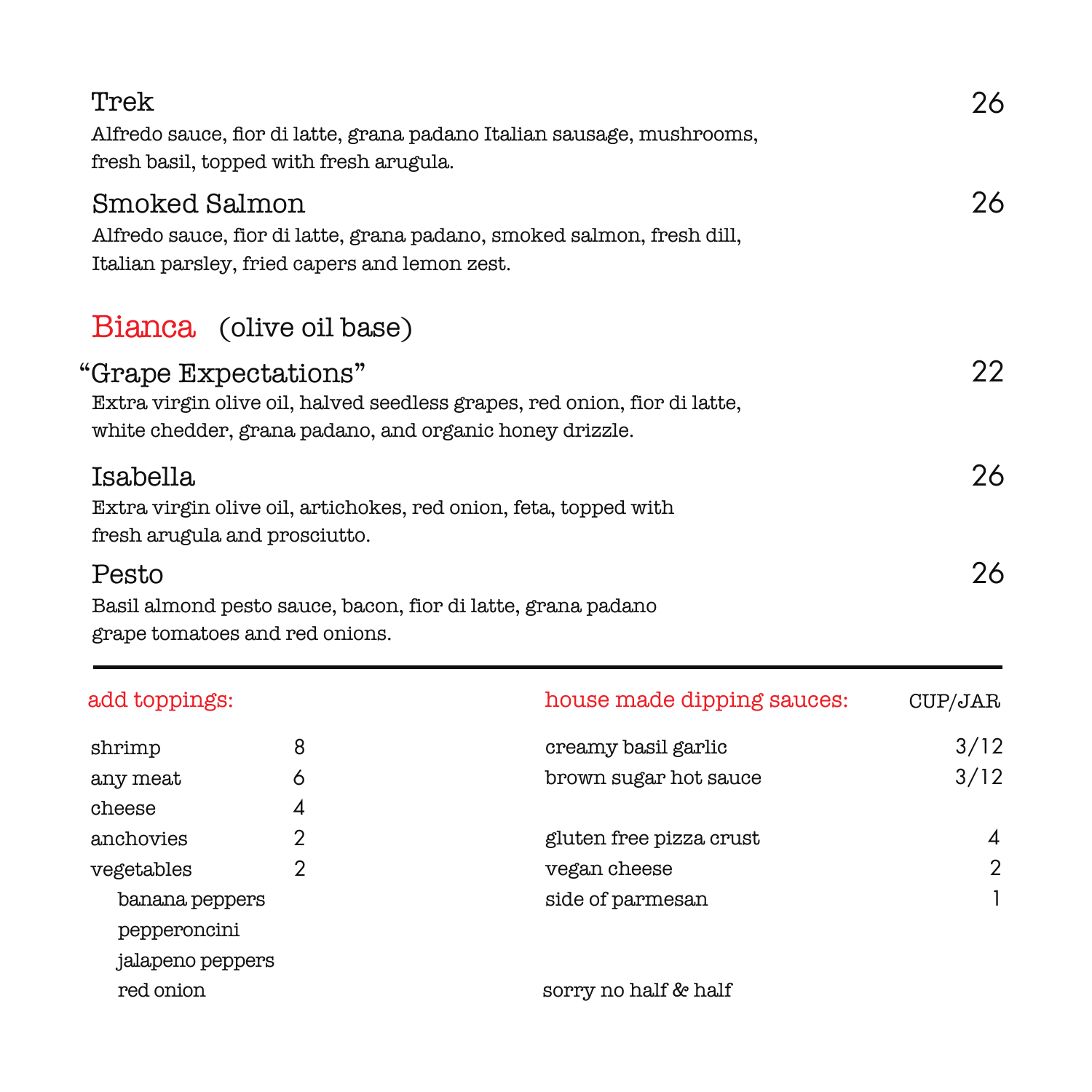| Trek<br>Alfredo sauce, flor di latte, grana padano Italian sausage, mushrooms,<br>fresh basil, topped with fresh arugula.                                    | 26 |
|--------------------------------------------------------------------------------------------------------------------------------------------------------------|----|
| Smoked Salmon<br>Alfredo sauce, fior di latte, grana padano, smoked salmon, fresh dill,<br>Italian parsley, fried capers and lemon zest.                     | 26 |
| Bianca (olive oil base)                                                                                                                                      |    |
| "Grape Expectations"<br>Extra virgin olive oil, halved seedless grapes, red onion, fior di latte,<br>white chedder, grana padano, and organic honey drizzle. | 22 |
| Isabella<br>Extra virgin olive oil, artichokes, red onion, feta, topped with<br>fresh arugula and prosciutto.                                                | 26 |
| Pesto<br>Basil almond pesto sauce, bacon, fior di latte, grana padano<br>grape tomatoes and red onions.                                                      | 26 |

| add toppings:                                      |   | house made dipping sauces: | CUP/JAR |
|----------------------------------------------------|---|----------------------------|---------|
| shrimp                                             | 8 | creamy basil garlic        | 3/12    |
| any meat                                           | 6 | brown sugar hot sauce      | 3/12    |
| cheese                                             | 4 |                            |         |
| anchovies                                          | 2 | gluten free pizza crust    | 4       |
| vegetables                                         |   | vegan cheese               | 2       |
| banana peppers<br>pepperoncini<br>jalapeno peppers |   | side of parmesan           |         |
| red onion                                          |   | sorry no half & half       |         |